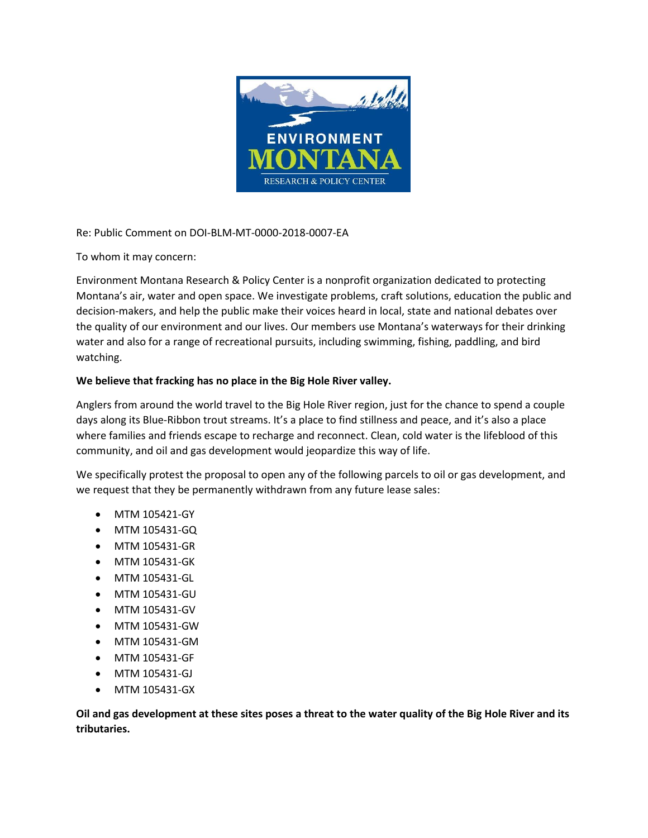

Re: Public Comment on DOI-BLM-MT-0000-2018-0007-EA

To whom it may concern:

Environment Montana Research & Policy Center is a nonprofit organization dedicated to protecting Montana's air, water and open space. We investigate problems, craft solutions, education the public and decision-makers, and help the public make their voices heard in local, state and national debates over the quality of our environment and our lives. Our members use Montana's waterways for their drinking water and also for a range of recreational pursuits, including swimming, fishing, paddling, and bird watching.

## **We believe that fracking has no place in the Big Hole River valley.**

Anglers from around the world travel to the Big Hole River region, just for the chance to spend a couple days along its Blue-Ribbon trout streams. It's a place to find stillness and peace, and it's also a place where families and friends escape to recharge and reconnect. Clean, cold water is the lifeblood of this community, and oil and gas development would jeopardize this way of life.

We specifically protest the proposal to open any of the following parcels to oil or gas development, and we request that they be permanently withdrawn from any future lease sales:

- MTM 105421-GY
- MTM 105431-GQ
- MTM 105431-GR
- MTM 105431-GK
- MTM 105431-GL
- MTM 105431-GU
- MTM 105431-GV
- MTM 105431-GW
- MTM 105431-GM
- MTM 105431-GF
- MTM 105431-GJ
- MTM 105431-GX

**Oil and gas development at these sites poses a threat to the water quality of the Big Hole River and its tributaries.**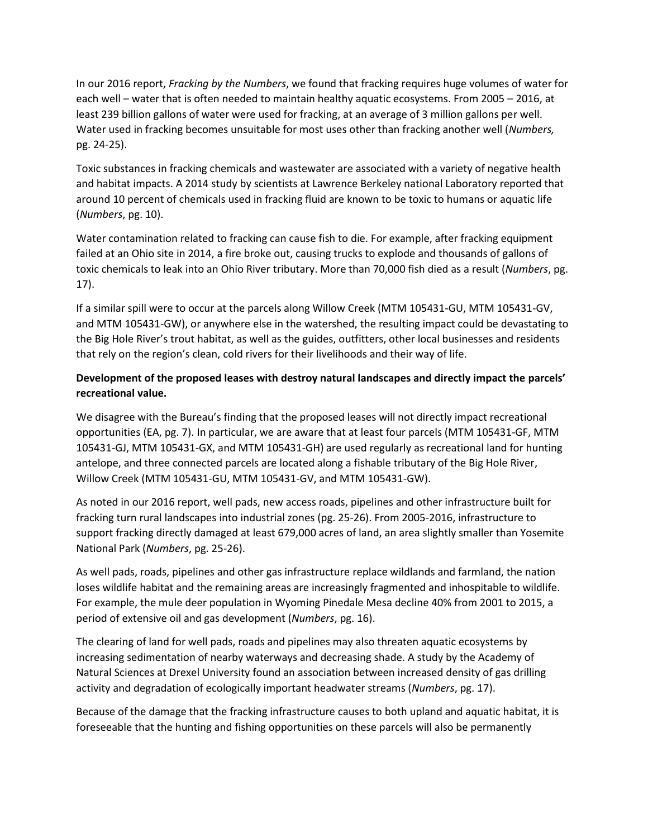In our 2016 report, *Fracking by the Numbers*, we found that fracking requires huge volumes of water for each well – water that is often needed to maintain healthy aquatic ecosystems. From 2005 – 2016, at least 239 billion gallons of water were used for fracking, at an average of 3 million gallons per well. Water used in fracking becomes unsuitable for most uses other than fracking another well (*Numbers,* pg. 24-25).

Toxic substances in fracking chemicals and wastewater are associated with a variety of negative health and habitat impacts. A 2014 study by scientists at Lawrence Berkeley national Laboratory reported that around 10 percent of chemicals used in fracking fluid are known to be toxic to humans or aquatic life (*Numbers*, pg. 10).

Water contamination related to fracking can cause fish to die. For example, after fracking equipment failed at an Ohio site in 2014, a fire broke out, causing trucks to explode and thousands of gallons of toxic chemicals to leak into an Ohio River tributary. More than 70,000 fish died as a result (*Numbers*, pg. 17).

If a similar spill were to occur at the parcels along Willow Creek (MTM 105431-GU, MTM 105431-GV, and MTM 105431-GW), or anywhere else in the watershed, the resulting impact could be devastating to the Big Hole River's trout habitat, as well as the guides, outfitters, other local businesses and residents that rely on the region's clean, cold rivers for their livelihoods and their way of life.

## **Development of the proposed leases with destroy natural landscapes and directly impact the parcels' recreational value.**

We disagree with the Bureau's finding that the proposed leases will not directly impact recreational opportunities (EA, pg. 7). In particular, we are aware that at least four parcels (MTM 105431-GF, MTM 105431-GJ, MTM 105431-GX, and MTM 105431-GH) are used regularly as recreational land for hunting antelope, and three connected parcels are located along a fishable tributary of the Big Hole River, Willow Creek (MTM 105431-GU, MTM 105431-GV, and MTM 105431-GW).

As noted in our 2016 report, well pads, new access roads, pipelines and other infrastructure built for fracking turn rural landscapes into industrial zones (pg. 25-26). From 2005-2016, infrastructure to support fracking directly damaged at least 679,000 acres of land, an area slightly smaller than Yosemite National Park (*Numbers*, pg. 25-26).

As well pads, roads, pipelines and other gas infrastructure replace wildlands and farmland, the nation loses wildlife habitat and the remaining areas are increasingly fragmented and inhospitable to wildlife. For example, the mule deer population in Wyoming Pinedale Mesa decline 40% from 2001 to 2015, a period of extensive oil and gas development (*Numbers*, pg. 16).

The clearing of land for well pads, roads and pipelines may also threaten aquatic ecosystems by increasing sedimentation of nearby waterways and decreasing shade. A study by the Academy of Natural Sciences at Drexel University found an association between increased density of gas drilling activity and degradation of ecologically important headwater streams (*Numbers*, pg. 17).

Because of the damage that the fracking infrastructure causes to both upland and aquatic habitat, it is foreseeable that the hunting and fishing opportunities on these parcels will also be permanently